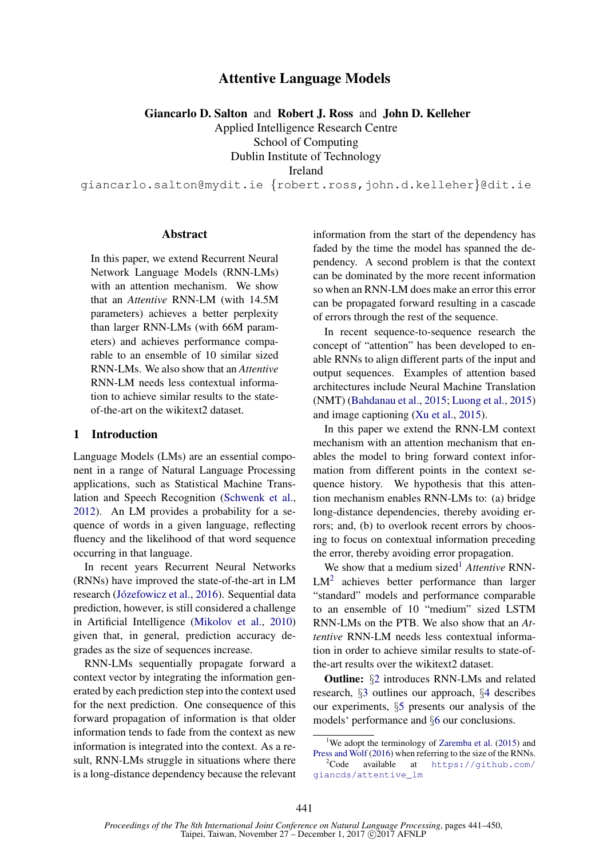# Attentive Language Models

Giancarlo D. Salton and Robert J. Ross and John D. Kelleher

Applied Intelligence Research Centre School of Computing

Dublin Institute of Technology

Ireland

giancarlo.salton@mydit.ie {robert.ross,john.d.kelleher}@dit.ie

# **Abstract**

In this paper, we extend Recurrent Neural Network Language Models (RNN-LMs) with an attention mechanism. We show that an *Attentive* RNN-LM (with 14.5M parameters) achieves a better perplexity than larger RNN-LMs (with 66M parameters) and achieves performance comparable to an ensemble of 10 similar sized RNN-LMs. We also show that an *Attentive* RNN-LM needs less contextual information to achieve similar results to the stateof-the-art on the wikitext2 dataset.

#### 1 Introduction

Language Models (LMs) are an essential component in a range of Natural Language Processing applications, such as Statistical Machine Translation and Speech Recognition (Schwenk et al., 2012). An LM provides a probability for a sequence of words in a given language, reflecting fluency and the likelihood of that word sequence occurring in that language.

In recent years Recurrent Neural Networks (RNNs) have improved the state-of-the-art in LM research (Józefowicz et al., 2016). Sequential data prediction, however, is still considered a challenge in Artificial Intelligence (Mikolov et al., 2010) given that, in general, prediction accuracy degrades as the size of sequences increase.

RNN-LMs sequentially propagate forward a context vector by integrating the information generated by each prediction step into the context used for the next prediction. One consequence of this forward propagation of information is that older information tends to fade from the context as new information is integrated into the context. As a result, RNN-LMs struggle in situations where there is a long-distance dependency because the relevant

information from the start of the dependency has faded by the time the model has spanned the dependency. A second problem is that the context can be dominated by the more recent information so when an RNN-LM does make an error this error can be propagated forward resulting in a cascade of errors through the rest of the sequence.

In recent sequence-to-sequence research the concept of "attention" has been developed to enable RNNs to align different parts of the input and output sequences. Examples of attention based architectures include Neural Machine Translation (NMT) (Bahdanau et al., 2015; Luong et al., 2015) and image captioning (Xu et al., 2015).

In this paper we extend the RNN-LM context mechanism with an attention mechanism that enables the model to bring forward context information from different points in the context sequence history. We hypothesis that this attention mechanism enables RNN-LMs to: (a) bridge long-distance dependencies, thereby avoiding errors; and, (b) to overlook recent errors by choosing to focus on contextual information preceding the error, thereby avoiding error propagation.

We show that a medium sized<sup>1</sup> Attentive RNN- $LM<sup>2</sup>$  achieves better performance than larger "standard" models and performance comparable to an ensemble of 10 "medium" sized LSTM RNN-LMs on the PTB. We also show that an *Attentive* RNN-LM needs less contextual information in order to achieve similar results to state-ofthe-art results over the wikitext2 dataset.

Outline: §2 introduces RNN-LMs and related research, §3 outlines our approach, §4 describes our experiments, §5 presents our analysis of the models' performance and §6 our conclusions.

<sup>&</sup>lt;sup>1</sup>We adopt the terminology of Zaremba et al.  $(2015)$  and Press and Wolf (2016) when referring to the size of the RNNs.

 $^{2}$ Code available at https://github.com/ giancds/attentive\_lm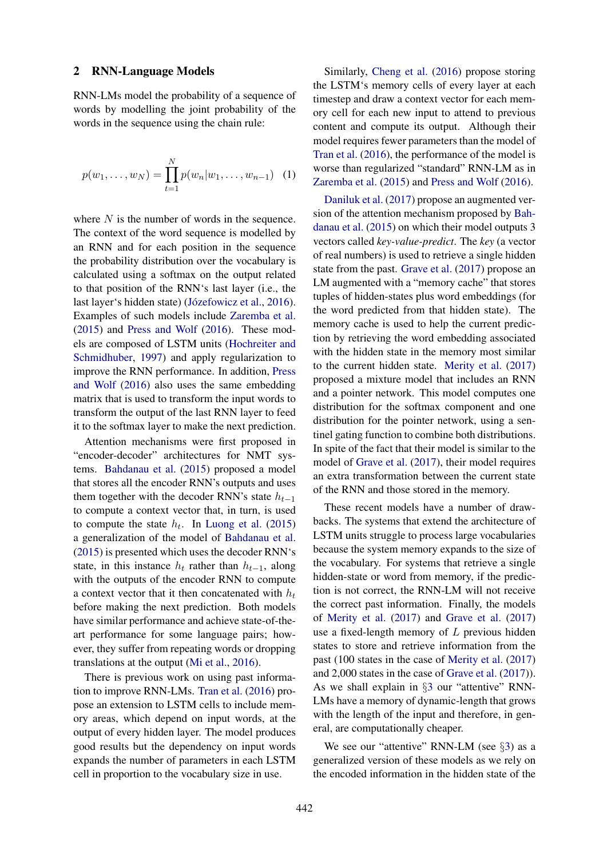#### 2 RNN-Language Models

RNN-LMs model the probability of a sequence of words by modelling the joint probability of the words in the sequence using the chain rule:

$$
p(w_1, \ldots, w_N) = \prod_{t=1}^{N} p(w_n | w_1, \ldots, w_{n-1}) \quad (1)
$$

where  $N$  is the number of words in the sequence. The context of the word sequence is modelled by an RNN and for each position in the sequence the probability distribution over the vocabulary is calculated using a softmax on the output related to that position of the RNN's last layer (i.e., the last layer's hidden state) (Józefowicz et al., 2016). Examples of such models include Zaremba et al. (2015) and Press and Wolf (2016). These models are composed of LSTM units (Hochreiter and Schmidhuber, 1997) and apply regularization to improve the RNN performance. In addition, Press and Wolf (2016) also uses the same embedding matrix that is used to transform the input words to transform the output of the last RNN layer to feed it to the softmax layer to make the next prediction.

Attention mechanisms were first proposed in "encoder-decoder" architectures for NMT systems. Bahdanau et al. (2015) proposed a model that stores all the encoder RNN's outputs and uses them together with the decoder RNN's state  $h_{t-1}$ to compute a context vector that, in turn, is used to compute the state  $h_t$ . In Luong et al. (2015) a generalization of the model of Bahdanau et al. (2015) is presented which uses the decoder RNN's state, in this instance  $h_t$  rather than  $h_{t-1}$ , along with the outputs of the encoder RNN to compute a context vector that it then concatenated with  $h_t$ before making the next prediction. Both models have similar performance and achieve state-of-theart performance for some language pairs; however, they suffer from repeating words or dropping translations at the output (Mi et al., 2016).

There is previous work on using past information to improve RNN-LMs. Tran et al. (2016) propose an extension to LSTM cells to include memory areas, which depend on input words, at the output of every hidden layer. The model produces good results but the dependency on input words expands the number of parameters in each LSTM cell in proportion to the vocabulary size in use.

Similarly, Cheng et al. (2016) propose storing the LSTM's memory cells of every layer at each timestep and draw a context vector for each memory cell for each new input to attend to previous content and compute its output. Although their model requires fewer parameters than the model of Tran et al. (2016), the performance of the model is worse than regularized "standard" RNN-LM as in Zaremba et al. (2015) and Press and Wolf (2016).

Daniluk et al. (2017) propose an augmented version of the attention mechanism proposed by Bahdanau et al. (2015) on which their model outputs 3 vectors called *key-value-predict*. The *key* (a vector of real numbers) is used to retrieve a single hidden state from the past. Grave et al. (2017) propose an LM augmented with a "memory cache" that stores tuples of hidden-states plus word embeddings (for the word predicted from that hidden state). The memory cache is used to help the current prediction by retrieving the word embedding associated with the hidden state in the memory most similar to the current hidden state. Merity et al. (2017) proposed a mixture model that includes an RNN and a pointer network. This model computes one distribution for the softmax component and one distribution for the pointer network, using a sentinel gating function to combine both distributions. In spite of the fact that their model is similar to the model of Grave et al. (2017), their model requires an extra transformation between the current state of the RNN and those stored in the memory.

These recent models have a number of drawbacks. The systems that extend the architecture of LSTM units struggle to process large vocabularies because the system memory expands to the size of the vocabulary. For systems that retrieve a single hidden-state or word from memory, if the prediction is not correct, the RNN-LM will not receive the correct past information. Finally, the models of Merity et al. (2017) and Grave et al. (2017) use a fixed-length memory of  $L$  previous hidden states to store and retrieve information from the past (100 states in the case of Merity et al. (2017) and 2,000 states in the case of Grave et al. (2017)). As we shall explain in §3 our "attentive" RNN-LMs have a memory of dynamic-length that grows with the length of the input and therefore, in general, are computationally cheaper.

We see our "attentive" RNN-LM (see §3) as a generalized version of these models as we rely on the encoded information in the hidden state of the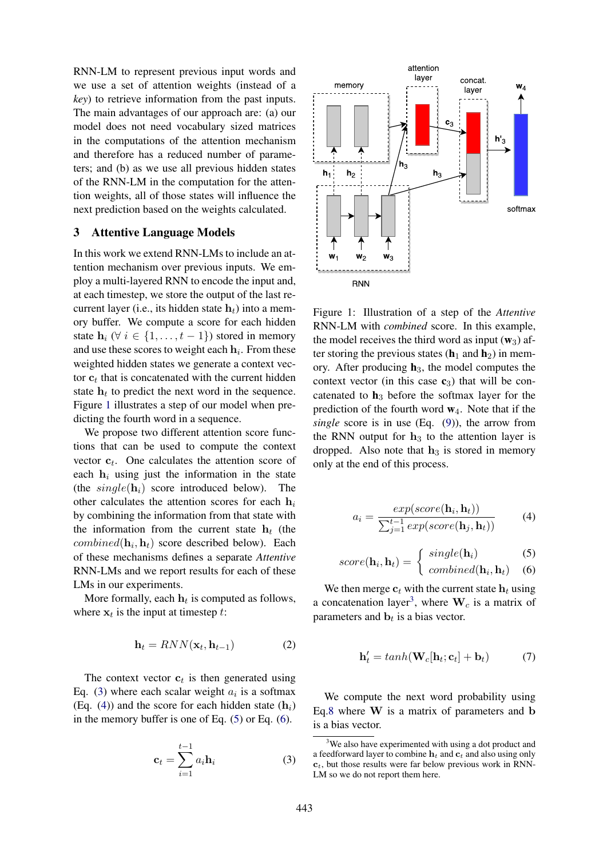RNN-LM to represent previous input words and we use a set of attention weights (instead of a *key*) to retrieve information from the past inputs. The main advantages of our approach are: (a) our model does not need vocabulary sized matrices in the computations of the attention mechanism and therefore has a reduced number of parameters; and (b) as we use all previous hidden states of the RNN-LM in the computation for the attention weights, all of those states will influence the next prediction based on the weights calculated.

# 3 Attentive Language Models

In this work we extend RNN-LMs to include an attention mechanism over previous inputs. We employ a multi-layered RNN to encode the input and, at each timestep, we store the output of the last recurrent layer (i.e., its hidden state  $h_t$ ) into a memory buffer. We compute a score for each hidden state  $h_i$  ( $\forall i \in \{1, ..., t-1\}$ ) stored in memory and use these scores to weight each  $h_i$ . From these weighted hidden states we generate a context vector  $c_t$  that is concatenated with the current hidden state  $h_t$  to predict the next word in the sequence. Figure 1 illustrates a step of our model when predicting the fourth word in a sequence.

We propose two different attention score functions that can be used to compute the context vector  $c_t$ . One calculates the attention score of each  $h_i$  using just the information in the state (the  $single(h<sub>i</sub>)$  score introduced below). The other calculates the attention scores for each  $h_i$ by combining the information from that state with the information from the current state  $h_t$  (the *combined*( $\mathbf{h}_i$ ,  $\mathbf{h}_t$ ) score described below). Each of these mechanisms defines a separate *Attentive* RNN-LMs and we report results for each of these LMs in our experiments.

More formally, each  $\mathbf{h}_t$  is computed as follows, where  $x_t$  is the input at timestep t:

$$
\mathbf{h}_t = RNN(\mathbf{x}_t, \mathbf{h}_{t-1})
$$
 (2)

The context vector  $c_t$  is then generated using Eq. (3) where each scalar weight  $a_i$  is a softmax (Eq. (4)) and the score for each hidden state  $(h_i)$ in the memory buffer is one of Eq. (5) or Eq. (6).

$$
\mathbf{c}_t = \sum_{i=1}^{t-1} a_i \mathbf{h}_i \tag{3}
$$



Figure 1: Illustration of a step of the *Attentive* RNN-LM with *combined* score. In this example, the model receives the third word as input  $(w_3)$  after storing the previous states ( $h_1$  and  $h_2$ ) in memory. After producing  $h_3$ , the model computes the context vector (in this case  $c_3$ ) that will be concatenated to  $h_3$  before the softmax layer for the prediction of the fourth word  $w_4$ . Note that if the *single* score is in use (Eq. (9)), the arrow from the RNN output for  $h_3$  to the attention layer is dropped. Also note that  $h_3$  is stored in memory only at the end of this process.

$$
a_i = \frac{exp(score(\mathbf{h}_i, \mathbf{h}_t))}{\sum_{j=1}^{t-1} exp(score(\mathbf{h}_j, \mathbf{h}_t))}
$$
(4)

$$
score(\mathbf{h}_i, \mathbf{h}_t) = \begin{cases} single(\mathbf{h}_i) & (5) \\ combined(\mathbf{h}_i, \mathbf{h}_t) & (6) \end{cases}
$$

We then merge  $c_t$  with the current state  $h_t$  using a concatenation layer<sup>3</sup>, where  $W_c$  is a matrix of parameters and  $\mathbf{b}_t$  is a bias vector.

$$
\mathbf{h}'_t = tanh(\mathbf{W}_c[\mathbf{h}_t; \mathbf{c}_t] + \mathbf{b}_t)
$$
 (7)

We compute the next word probability using Eq.8 where W is a matrix of parameters and b is a bias vector.

<sup>&</sup>lt;sup>3</sup>We also have experimented with using a dot product and a feedforward layer to combine  $h_t$  and  $c_t$  and also using only  $c<sub>t</sub>$ , but those results were far below previous work in RNN-LM so we do not report them here.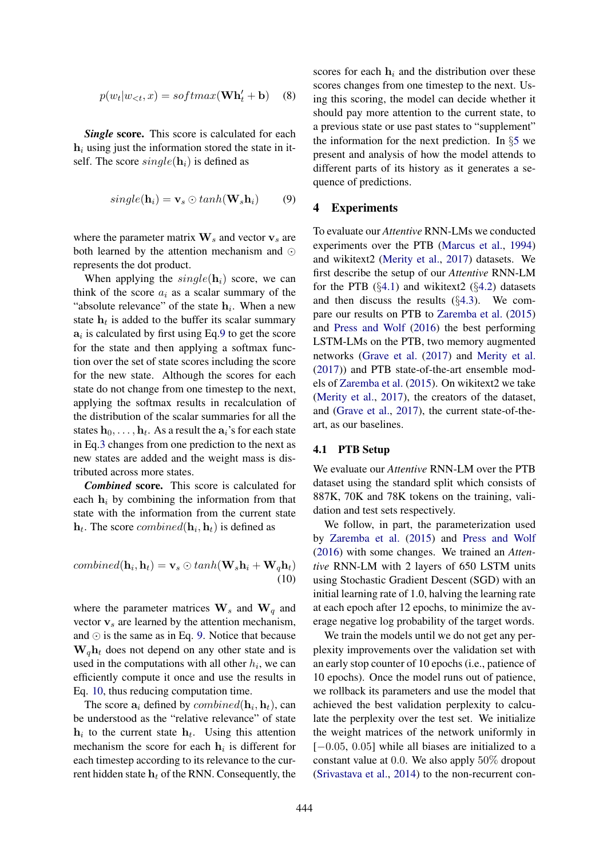$$
p(w_t|w_{<};,x) = softmax(\mathbf{Wh}'_t + \mathbf{b}) \quad (8)
$$

*Single* score. This score is calculated for each  $h_i$  using just the information stored the state in itself. The score  $single(h<sub>i</sub>)$  is defined as

$$
single(\mathbf{h}_i) = \mathbf{v}_s \odot tanh(\mathbf{W}_s \mathbf{h}_i)
$$
 (9)

where the parameter matrix  $\mathbf{W}_s$  and vector  $\mathbf{v}_s$  are both learned by the attention mechanism and  $\odot$ represents the dot product.

When applying the  $single(h<sub>i</sub>)$  score, we can think of the score  $a_i$  as a scalar summary of the "absolute relevance" of the state  $h_i$ . When a new state  $h_t$  is added to the buffer its scalar summary  $a_i$  is calculated by first using Eq.9 to get the score for the state and then applying a softmax function over the set of state scores including the score for the new state. Although the scores for each state do not change from one timestep to the next, applying the softmax results in recalculation of the distribution of the scalar summaries for all the states  $\mathbf{h}_0, \ldots, \mathbf{h}_t$ . As a result the  $\mathbf{a}_i$ 's for each state in Eq.3 changes from one prediction to the next as new states are added and the weight mass is distributed across more states.

*Combined* score. This score is calculated for each  $h_i$  by combining the information from that state with the information from the current state  $\mathbf{h}_t$ . The score *combined*( $\mathbf{h}_i$ ,  $\mathbf{h}_t$ ) is defined as

$$
combined(\mathbf{h}_i, \mathbf{h}_t) = \mathbf{v}_s \odot tanh(\mathbf{W}_s \mathbf{h}_i + \mathbf{W}_q \mathbf{h}_t)
$$
\n(10)

where the parameter matrices  $\mathbf{W}_s$  and  $\mathbf{W}_q$  and vector  $v<sub>s</sub>$  are learned by the attention mechanism, and  $\odot$  is the same as in Eq. 9. Notice that because  $\mathbf{W}_q \mathbf{h}_t$  does not depend on any other state and is used in the computations with all other  $h_i$ , we can efficiently compute it once and use the results in Eq. 10, thus reducing computation time.

The score  $\mathbf{a}_i$  defined by  $combined(\mathbf{h}_i, \mathbf{h}_t)$ , can be understood as the "relative relevance" of state  $h_i$  to the current state  $h_t$ . Using this attention mechanism the score for each  $h_i$  is different for each timestep according to its relevance to the current hidden state  $h_t$  of the RNN. Consequently, the scores for each  $h_i$  and the distribution over these scores changes from one timestep to the next. Using this scoring, the model can decide whether it should pay more attention to the current state, to a previous state or use past states to "supplement" the information for the next prediction. In §5 we present and analysis of how the model attends to different parts of its history as it generates a sequence of predictions.

# 4 Experiments

To evaluate our *Attentive* RNN-LMs we conducted experiments over the PTB (Marcus et al., 1994) and wikitext2 (Merity et al., 2017) datasets. We first describe the setup of our *Attentive* RNN-LM for the PTB  $(\S4.1)$  and wikitext2  $(\S4.2)$  datasets and then discuss the results (§4.3). We compare our results on PTB to Zaremba et al. (2015) and Press and Wolf (2016) the best performing LSTM-LMs on the PTB, two memory augmented networks (Grave et al. (2017) and Merity et al. (2017)) and PTB state-of-the-art ensemble models of Zaremba et al. (2015). On wikitext2 we take (Merity et al., 2017), the creators of the dataset, and (Grave et al., 2017), the current state-of-theart, as our baselines.

#### 4.1 PTB Setup

We evaluate our *Attentive* RNN-LM over the PTB dataset using the standard split which consists of 887K, 70K and 78K tokens on the training, validation and test sets respectively.

We follow, in part, the parameterization used by Zaremba et al. (2015) and Press and Wolf (2016) with some changes. We trained an *Attentive* RNN-LM with 2 layers of 650 LSTM units using Stochastic Gradient Descent (SGD) with an initial learning rate of 1.0, halving the learning rate at each epoch after 12 epochs, to minimize the average negative log probability of the target words.

We train the models until we do not get any perplexity improvements over the validation set with an early stop counter of 10 epochs (i.e., patience of 10 epochs). Once the model runs out of patience, we rollback its parameters and use the model that achieved the best validation perplexity to calculate the perplexity over the test set. We initialize the weight matrices of the network uniformly in  $[-0.05, 0.05]$  while all biases are initialized to a constant value at 0.0. We also apply 50% dropout (Srivastava et al., 2014) to the non-recurrent con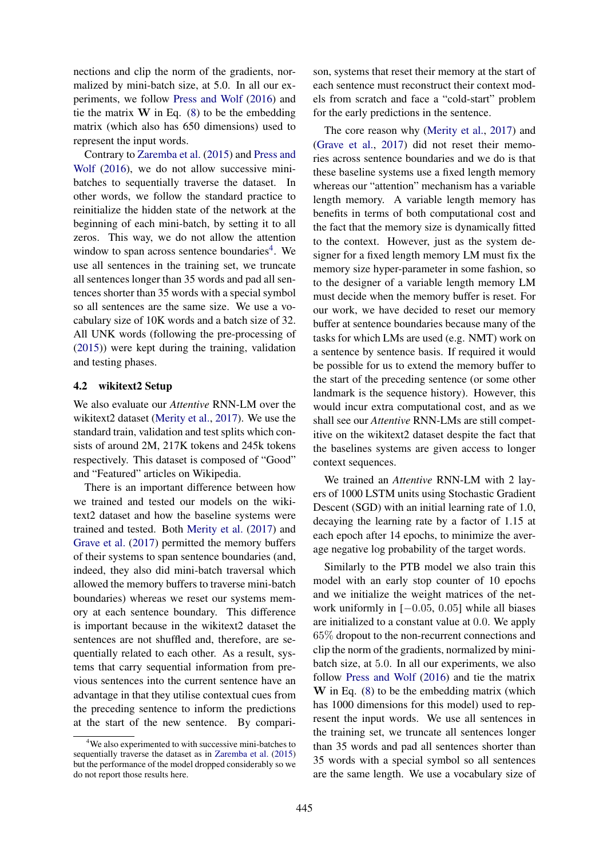nections and clip the norm of the gradients, normalized by mini-batch size, at 5.0. In all our experiments, we follow Press and Wolf (2016) and tie the matrix  $W$  in Eq. (8) to be the embedding matrix (which also has 650 dimensions) used to represent the input words.

Contrary to Zaremba et al. (2015) and Press and Wolf (2016), we do not allow successive minibatches to sequentially traverse the dataset. In other words, we follow the standard practice to reinitialize the hidden state of the network at the beginning of each mini-batch, by setting it to all zeros. This way, we do not allow the attention window to span across sentence boundaries<sup>4</sup>. We use all sentences in the training set, we truncate all sentences longer than 35 words and pad all sentences shorter than 35 words with a special symbol so all sentences are the same size. We use a vocabulary size of 10K words and a batch size of 32. All UNK words (following the pre-processing of (2015)) were kept during the training, validation and testing phases.

#### 4.2 wikitext2 Setup

We also evaluate our *Attentive* RNN-LM over the wikitext2 dataset (Merity et al., 2017). We use the standard train, validation and test splits which consists of around 2M, 217K tokens and 245k tokens respectively. This dataset is composed of "Good" and "Featured" articles on Wikipedia.

There is an important difference between how we trained and tested our models on the wikitext2 dataset and how the baseline systems were trained and tested. Both Merity et al. (2017) and Grave et al. (2017) permitted the memory buffers of their systems to span sentence boundaries (and, indeed, they also did mini-batch traversal which allowed the memory buffers to traverse mini-batch boundaries) whereas we reset our systems memory at each sentence boundary. This difference is important because in the wikitext2 dataset the sentences are not shuffled and, therefore, are sequentially related to each other. As a result, systems that carry sequential information from previous sentences into the current sentence have an advantage in that they utilise contextual cues from the preceding sentence to inform the predictions at the start of the new sentence. By comparison, systems that reset their memory at the start of each sentence must reconstruct their context models from scratch and face a "cold-start" problem for the early predictions in the sentence.

The core reason why (Merity et al., 2017) and (Grave et al., 2017) did not reset their memories across sentence boundaries and we do is that these baseline systems use a fixed length memory whereas our "attention" mechanism has a variable length memory. A variable length memory has benefits in terms of both computational cost and the fact that the memory size is dynamically fitted to the context. However, just as the system designer for a fixed length memory LM must fix the memory size hyper-parameter in some fashion, so to the designer of a variable length memory LM must decide when the memory buffer is reset. For our work, we have decided to reset our memory buffer at sentence boundaries because many of the tasks for which LMs are used (e.g. NMT) work on a sentence by sentence basis. If required it would be possible for us to extend the memory buffer to the start of the preceding sentence (or some other landmark is the sequence history). However, this would incur extra computational cost, and as we shall see our *Attentive* RNN-LMs are still competitive on the wikitext2 dataset despite the fact that the baselines systems are given access to longer context sequences.

We trained an *Attentive* RNN-LM with 2 layers of 1000 LSTM units using Stochastic Gradient Descent (SGD) with an initial learning rate of 1.0, decaying the learning rate by a factor of 1.15 at each epoch after 14 epochs, to minimize the average negative log probability of the target words.

Similarly to the PTB model we also train this model with an early stop counter of 10 epochs and we initialize the weight matrices of the network uniformly in [−0.05, 0.05] while all biases are initialized to a constant value at 0.0. We apply 65% dropout to the non-recurrent connections and clip the norm of the gradients, normalized by minibatch size, at 5.0. In all our experiments, we also follow Press and Wolf (2016) and tie the matrix W in Eq. (8) to be the embedding matrix (which has 1000 dimensions for this model) used to represent the input words. We use all sentences in the training set, we truncate all sentences longer than 35 words and pad all sentences shorter than 35 words with a special symbol so all sentences are the same length. We use a vocabulary size of

<sup>&</sup>lt;sup>4</sup>We also experimented to with successive mini-batches to sequentially traverse the dataset as in Zaremba et al. (2015) but the performance of the model dropped considerably so we do not report those results here.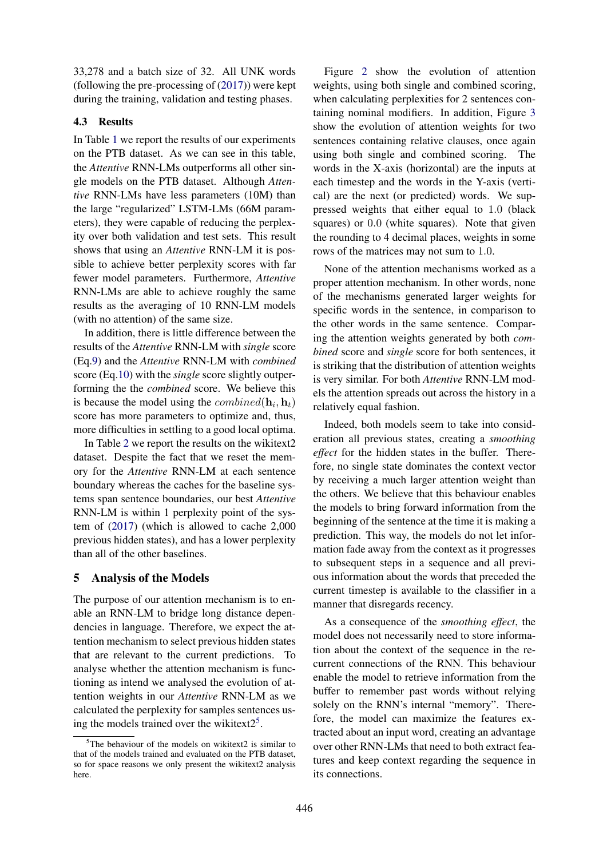33,278 and a batch size of 32. All UNK words (following the pre-processing of (2017)) were kept during the training, validation and testing phases.

# 4.3 Results

In Table 1 we report the results of our experiments on the PTB dataset. As we can see in this table, the *Attentive* RNN-LMs outperforms all other single models on the PTB dataset. Although *Attentive* RNN-LMs have less parameters (10M) than the large "regularized" LSTM-LMs (66M parameters), they were capable of reducing the perplexity over both validation and test sets. This result shows that using an *Attentive* RNN-LM it is possible to achieve better perplexity scores with far fewer model parameters. Furthermore, *Attentive* RNN-LMs are able to achieve roughly the same results as the averaging of 10 RNN-LM models (with no attention) of the same size.

In addition, there is little difference between the results of the *Attentive* RNN-LM with *single* score (Eq.9) and the *Attentive* RNN-LM with *combined* score (Eq.10) with the *single* score slightly outperforming the the *combined* score. We believe this is because the model using the  $combined(\mathbf{h}_i, \mathbf{h}_t)$ score has more parameters to optimize and, thus, more difficulties in settling to a good local optima.

In Table 2 we report the results on the wikitext2 dataset. Despite the fact that we reset the memory for the *Attentive* RNN-LM at each sentence boundary whereas the caches for the baseline systems span sentence boundaries, our best *Attentive* RNN-LM is within 1 perplexity point of the system of (2017) (which is allowed to cache 2,000 previous hidden states), and has a lower perplexity than all of the other baselines.

# 5 Analysis of the Models

The purpose of our attention mechanism is to enable an RNN-LM to bridge long distance dependencies in language. Therefore, we expect the attention mechanism to select previous hidden states that are relevant to the current predictions. To analyse whether the attention mechanism is functioning as intend we analysed the evolution of attention weights in our *Attentive* RNN-LM as we calculated the perplexity for samples sentences using the models trained over the wikitext $2^5$ .

Figure 2 show the evolution of attention weights, using both single and combined scoring, when calculating perplexities for 2 sentences containing nominal modifiers. In addition, Figure 3 show the evolution of attention weights for two sentences containing relative clauses, once again using both single and combined scoring. The words in the X-axis (horizontal) are the inputs at each timestep and the words in the Y-axis (vertical) are the next (or predicted) words. We suppressed weights that either equal to 1.0 (black squares) or 0.0 (white squares). Note that given the rounding to 4 decimal places, weights in some rows of the matrices may not sum to 1.0.

None of the attention mechanisms worked as a proper attention mechanism. In other words, none of the mechanisms generated larger weights for specific words in the sentence, in comparison to the other words in the same sentence. Comparing the attention weights generated by both *combined* score and *single* score for both sentences, it is striking that the distribution of attention weights is very similar. For both *Attentive* RNN-LM models the attention spreads out across the history in a relatively equal fashion.

Indeed, both models seem to take into consideration all previous states, creating a *smoothing effect* for the hidden states in the buffer. Therefore, no single state dominates the context vector by receiving a much larger attention weight than the others. We believe that this behaviour enables the models to bring forward information from the beginning of the sentence at the time it is making a prediction. This way, the models do not let information fade away from the context as it progresses to subsequent steps in a sequence and all previous information about the words that preceded the current timestep is available to the classifier in a manner that disregards recency.

As a consequence of the *smoothing effect*, the model does not necessarily need to store information about the context of the sequence in the recurrent connections of the RNN. This behaviour enable the model to retrieve information from the buffer to remember past words without relying solely on the RNN's internal "memory". Therefore, the model can maximize the features extracted about an input word, creating an advantage over other RNN-LMs that need to both extract features and keep context regarding the sequence in its connections.

 $5$ The behaviour of the models on wikitext2 is similar to that of the models trained and evaluated on the PTB dataset, so for space reasons we only present the wikitext2 analysis here.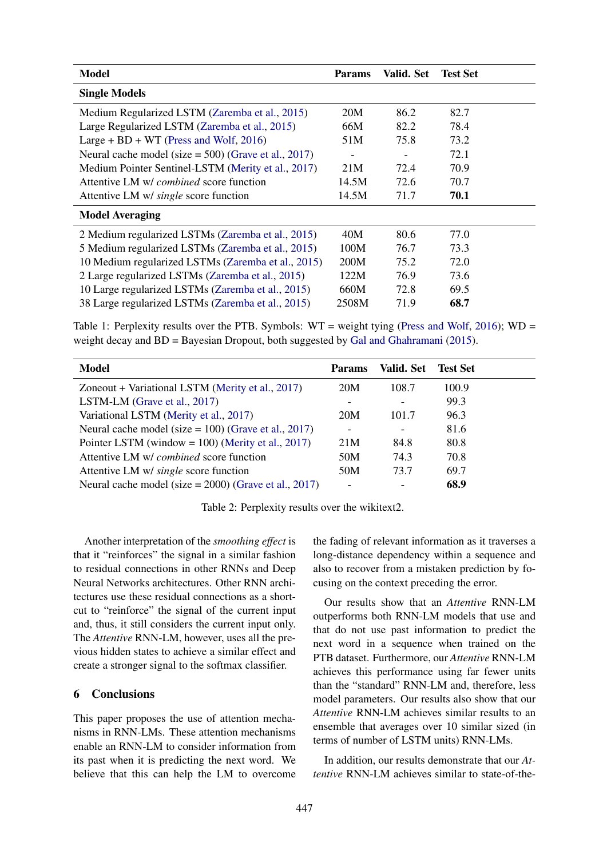| <b>Model</b>                                            | <b>Params</b> | Valid. Set | <b>Test Set</b> |
|---------------------------------------------------------|---------------|------------|-----------------|
| <b>Single Models</b>                                    |               |            |                 |
| Medium Regularized LSTM (Zaremba et al., 2015)          | 20M           | 86.2       | 82.7            |
| Large Regularized LSTM (Zaremba et al., 2015)           | 66M           | 82.2       | 78.4            |
| Large + BD + WT (Press and Wolf, 2016)                  | 51M           | 75.8       | 73.2            |
| Neural cache model (size = $500$ ) (Grave et al., 2017) |               |            | 72.1            |
| Medium Pointer Sentinel-LSTM (Merity et al., 2017)      | 21M           | 72.4       | 70.9            |
| Attentive LM w/ <i>combined</i> score function          | 14.5M         | 72.6       | 70.7            |
| Attentive LM w/ single score function                   | 14.5M         | 71.7       | 70.1            |
| <b>Model Averaging</b>                                  |               |            |                 |
| 2 Medium regularized LSTMs (Zaremba et al., 2015)       | 40M           | 80.6       | 77.0            |
| 5 Medium regularized LSTMs (Zaremba et al., 2015)       | 100M          | 76.7       | 73.3            |
| 10 Medium regularized LSTMs (Zaremba et al., 2015)      | 200M          | 75.2       | 72.0            |
| 2 Large regularized LSTMs (Zaremba et al., 2015)        | 122M          | 76.9       | 73.6            |
| 10 Large regularized LSTMs (Zaremba et al., 2015)       | 660M          | 72.8       | 69.5            |
| 38 Large regularized LSTMs (Zaremba et al., 2015)       | 2508M         | 71.9       | 68.7            |

Table 1: Perplexity results over the PTB. Symbols:  $WT = weight$  tying (Press and Wolf, 2016);  $WD =$ weight decay and BD = Bayesian Dropout, both suggested by Gal and Ghahramani (2015).

| <b>Model</b>                                             | <b>Params</b>            | Valid. Set | <b>Test Set</b> |
|----------------------------------------------------------|--------------------------|------------|-----------------|
| Zoneout + Variational LSTM (Merity et al., 2017)         | 20M                      | 108.7      | 100.9           |
| LSTM-LM (Grave et al., 2017)                             |                          |            | 99.3            |
| Variational LSTM (Merity et al., 2017)                   | 20M                      | 101.7      | 96.3            |
| Neural cache model (size = $100$ ) (Grave et al., 2017)  | $\overline{\phantom{a}}$ |            | 81.6            |
| Pointer LSTM (window = $100$ ) (Merity et al., 2017)     | 21M                      | 84.8       | 80.8            |
| Attentive LM w/ combined score function                  | 50M                      | 74.3       | 70.8            |
| Attentive LM w/ single score function                    | 50M                      | 73.7       | 69.7            |
| Neural cache model (size = $2000$ ) (Grave et al., 2017) | $\blacksquare$           |            | 68.9            |

Table 2: Perplexity results over the wikitext2.

Another interpretation of the *smoothing effect* is that it "reinforces" the signal in a similar fashion to residual connections in other RNNs and Deep Neural Networks architectures. Other RNN architectures use these residual connections as a shortcut to "reinforce" the signal of the current input and, thus, it still considers the current input only. The *Attentive* RNN-LM, however, uses all the previous hidden states to achieve a similar effect and create a stronger signal to the softmax classifier.

# 6 Conclusions

This paper proposes the use of attention mechanisms in RNN-LMs. These attention mechanisms enable an RNN-LM to consider information from its past when it is predicting the next word. We believe that this can help the LM to overcome the fading of relevant information as it traverses a long-distance dependency within a sequence and also to recover from a mistaken prediction by focusing on the context preceding the error.

Our results show that an *Attentive* RNN-LM outperforms both RNN-LM models that use and that do not use past information to predict the next word in a sequence when trained on the PTB dataset. Furthermore, our *Attentive* RNN-LM achieves this performance using far fewer units than the "standard" RNN-LM and, therefore, less model parameters. Our results also show that our *Attentive* RNN-LM achieves similar results to an ensemble that averages over 10 similar sized (in terms of number of LSTM units) RNN-LMs.

In addition, our results demonstrate that our *Attentive* RNN-LM achieves similar to state-of-the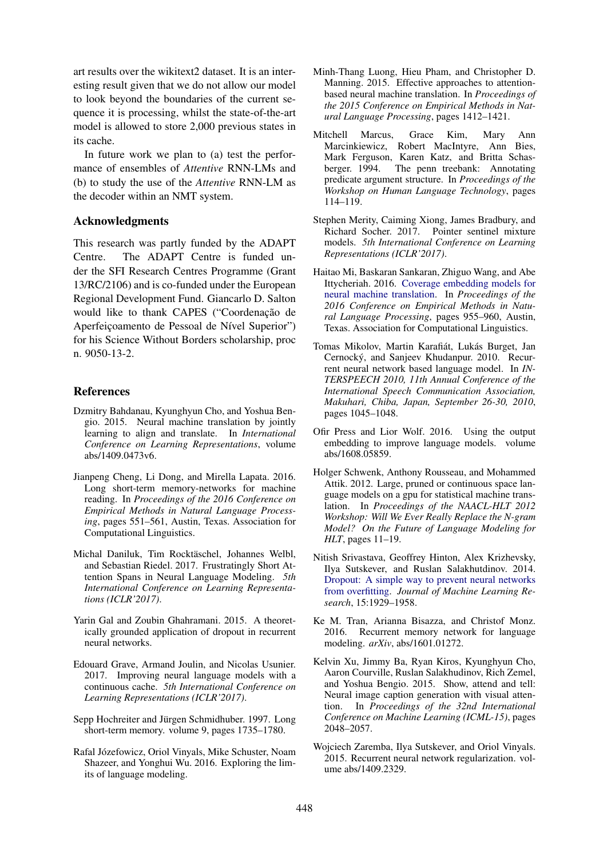art results over the wikitext2 dataset. It is an interesting result given that we do not allow our model to look beyond the boundaries of the current sequence it is processing, whilst the state-of-the-art model is allowed to store 2,000 previous states in its cache.

In future work we plan to (a) test the performance of ensembles of *Attentive* RNN-LMs and (b) to study the use of the *Attentive* RNN-LM as the decoder within an NMT system.

# Acknowledgments

This research was partly funded by the ADAPT Centre. The ADAPT Centre is funded under the SFI Research Centres Programme (Grant 13/RC/2106) and is co-funded under the European Regional Development Fund. Giancarlo D. Salton would like to thank CAPES ("Coordenação de Aperfeiçoamento de Pessoal de Nível Superior") for his Science Without Borders scholarship, proc n. 9050-13-2.

# References

- Dzmitry Bahdanau, Kyunghyun Cho, and Yoshua Bengio. 2015. Neural machine translation by jointly learning to align and translate. In *International Conference on Learning Representations*, volume abs/1409.0473v6.
- Jianpeng Cheng, Li Dong, and Mirella Lapata. 2016. Long short-term memory-networks for machine reading. In *Proceedings of the 2016 Conference on Empirical Methods in Natural Language Processing*, pages 551–561, Austin, Texas. Association for Computational Linguistics.
- Michal Daniluk, Tim Rocktäschel, Johannes Welbl, and Sebastian Riedel. 2017. Frustratingly Short Attention Spans in Neural Language Modeling. *5th International Conference on Learning Representations (ICLR'2017)*.
- Yarin Gal and Zoubin Ghahramani. 2015. A theoretically grounded application of dropout in recurrent neural networks.
- Edouard Grave, Armand Joulin, and Nicolas Usunier. 2017. Improving neural language models with a continuous cache. *5th International Conference on Learning Representations (ICLR'2017)*.
- Sepp Hochreiter and Jürgen Schmidhuber. 1997. Long short-term memory. volume 9, pages 1735–1780.
- Rafal Józefowicz, Oriol Vinyals, Mike Schuster, Noam Shazeer, and Yonghui Wu. 2016. Exploring the limits of language modeling.
- Minh-Thang Luong, Hieu Pham, and Christopher D. Manning. 2015. Effective approaches to attentionbased neural machine translation. In *Proceedings of the 2015 Conference on Empirical Methods in Natural Language Processing*, pages 1412–1421.
- Mitchell Marcus, Grace Kim, Mary Ann Marcinkiewicz, Robert MacIntyre, Ann Bies, Mark Ferguson, Karen Katz, and Britta Schasberger. 1994. The penn treebank: Annotating predicate argument structure. In *Proceedings of the Workshop on Human Language Technology*, pages 114–119.
- Stephen Merity, Caiming Xiong, James Bradbury, and Richard Socher. 2017. Pointer sentinel mixture models. *5th International Conference on Learning Representations (ICLR'2017)*.
- Haitao Mi, Baskaran Sankaran, Zhiguo Wang, and Abe Ittycheriah. 2016. Coverage embedding models for neural machine translation. In *Proceedings of the 2016 Conference on Empirical Methods in Natural Language Processing*, pages 955–960, Austin, Texas. Association for Computational Linguistics.
- Tomas Mikolov, Martin Karafiát, Lukás Burget, Jan Cernocký, and Sanjeev Khudanpur. 2010. Recurrent neural network based language model. In *IN-TERSPEECH 2010, 11th Annual Conference of the International Speech Communication Association, Makuhari, Chiba, Japan, September 26-30, 2010*, pages 1045–1048.
- Ofir Press and Lior Wolf. 2016. Using the output embedding to improve language models. volume abs/1608.05859.
- Holger Schwenk, Anthony Rousseau, and Mohammed Attik. 2012. Large, pruned or continuous space language models on a gpu for statistical machine translation. In *Proceedings of the NAACL-HLT 2012 Workshop: Will We Ever Really Replace the N-gram Model? On the Future of Language Modeling for HLT*, pages 11–19.
- Nitish Srivastava, Geoffrey Hinton, Alex Krizhevsky, Ilya Sutskever, and Ruslan Salakhutdinov. 2014. Dropout: A simple way to prevent neural networks from overfitting. *Journal of Machine Learning Research*, 15:1929–1958.
- Ke M. Tran, Arianna Bisazza, and Christof Monz. 2016. Recurrent memory network for language modeling. *arXiv*, abs/1601.01272.
- Kelvin Xu, Jimmy Ba, Ryan Kiros, Kyunghyun Cho, Aaron Courville, Ruslan Salakhudinov, Rich Zemel, and Yoshua Bengio. 2015. Show, attend and tell: Neural image caption generation with visual attention. In *Proceedings of the 32nd International Conference on Machine Learning (ICML-15)*, pages 2048–2057.
- Wojciech Zaremba, Ilya Sutskever, and Oriol Vinyals. 2015. Recurrent neural network regularization. volume abs/1409.2329.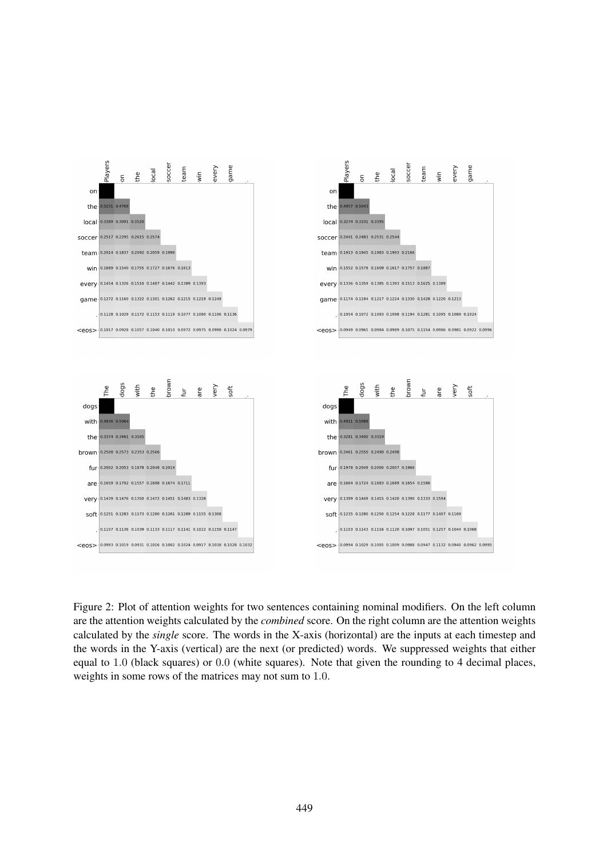

Figure 2: Plot of attention weights for two sentences containing nominal modifiers. On the left column are the attention weights calculated by the *combined* score. On the right column are the attention weights calculated by the *single* score. The words in the X-axis (horizontal) are the inputs at each timestep and the words in the Y-axis (vertical) are the next (or predicted) words. We suppressed weights that either equal to 1.0 (black squares) or 0.0 (white squares). Note that given the rounding to 4 decimal places, weights in some rows of the matrices may not sum to 1.0.